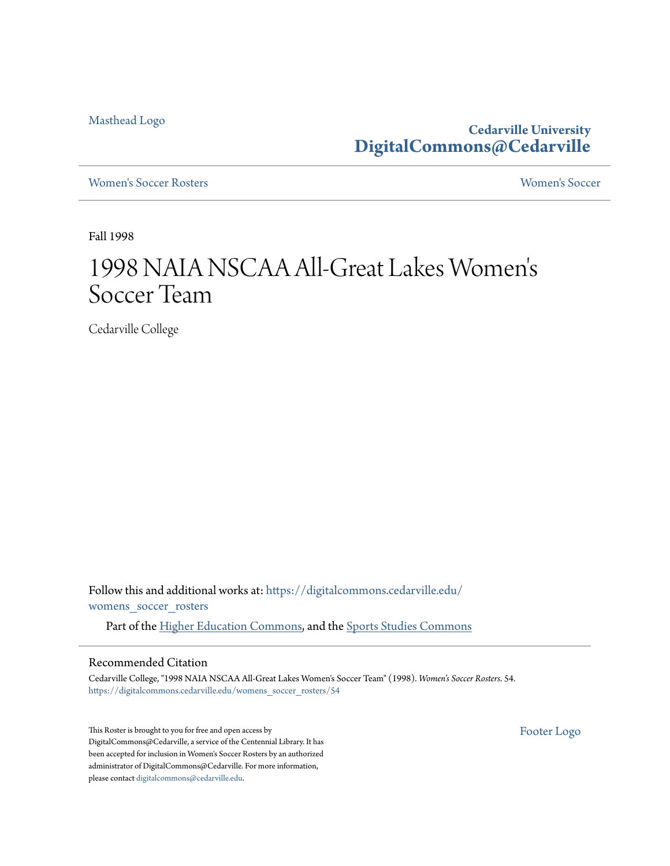[Masthead Logo](http://www.cedarville.edu/?utm_source=digitalcommons.cedarville.edu%2Fwomens_soccer_rosters%2F54&utm_medium=PDF&utm_campaign=PDFCoverPages)

**Cedarville University [DigitalCommons@Cedarville](https://digitalcommons.cedarville.edu?utm_source=digitalcommons.cedarville.edu%2Fwomens_soccer_rosters%2F54&utm_medium=PDF&utm_campaign=PDFCoverPages)**

[Women's Soccer Rosters](https://digitalcommons.cedarville.edu/womens_soccer_rosters?utm_source=digitalcommons.cedarville.edu%2Fwomens_soccer_rosters%2F54&utm_medium=PDF&utm_campaign=PDFCoverPages) [Women's Soccer](https://digitalcommons.cedarville.edu/womens_soccer?utm_source=digitalcommons.cedarville.edu%2Fwomens_soccer_rosters%2F54&utm_medium=PDF&utm_campaign=PDFCoverPages)

Fall 1998

## 1998 NAIA NSCAA All-Great Lakes Women ' $\mathsf{s}'$ Soccer Team

Cedarville College

Follow this and additional works at: [https://digitalcommons.cedarville.edu/](https://digitalcommons.cedarville.edu/womens_soccer_rosters?utm_source=digitalcommons.cedarville.edu%2Fwomens_soccer_rosters%2F54&utm_medium=PDF&utm_campaign=PDFCoverPages) [womens\\_soccer\\_rosters](https://digitalcommons.cedarville.edu/womens_soccer_rosters?utm_source=digitalcommons.cedarville.edu%2Fwomens_soccer_rosters%2F54&utm_medium=PDF&utm_campaign=PDFCoverPages)

Part of the [Higher Education Commons](http://network.bepress.com/hgg/discipline/1245?utm_source=digitalcommons.cedarville.edu%2Fwomens_soccer_rosters%2F54&utm_medium=PDF&utm_campaign=PDFCoverPages), and the [Sports Studies Commons](http://network.bepress.com/hgg/discipline/1198?utm_source=digitalcommons.cedarville.edu%2Fwomens_soccer_rosters%2F54&utm_medium=PDF&utm_campaign=PDFCoverPages)

#### Recommended Citation

Cedarville College, "1998 NAIA NSCAA All-Great Lakes Women's Soccer Team" (1998). *Women's Soccer Rosters*. 54. [https://digitalcommons.cedarville.edu/womens\\_soccer\\_rosters/54](https://digitalcommons.cedarville.edu/womens_soccer_rosters/54?utm_source=digitalcommons.cedarville.edu%2Fwomens_soccer_rosters%2F54&utm_medium=PDF&utm_campaign=PDFCoverPages)

This Roster is brought to you for free and open access by DigitalCommons@Cedarville, a service of the Centennial Library. It has been accepted for inclusion in Women's Soccer Rosters by an authorized administrator of DigitalCommons@Cedarville. For more information, please contact [digitalcommons@cedarville.edu.](mailto:digitalcommons@cedarville.edu)

[Footer Logo](http://www.cedarville.edu/Academics/Library.aspx?utm_source=digitalcommons.cedarville.edu%2Fwomens_soccer_rosters%2F54&utm_medium=PDF&utm_campaign=PDFCoverPages)